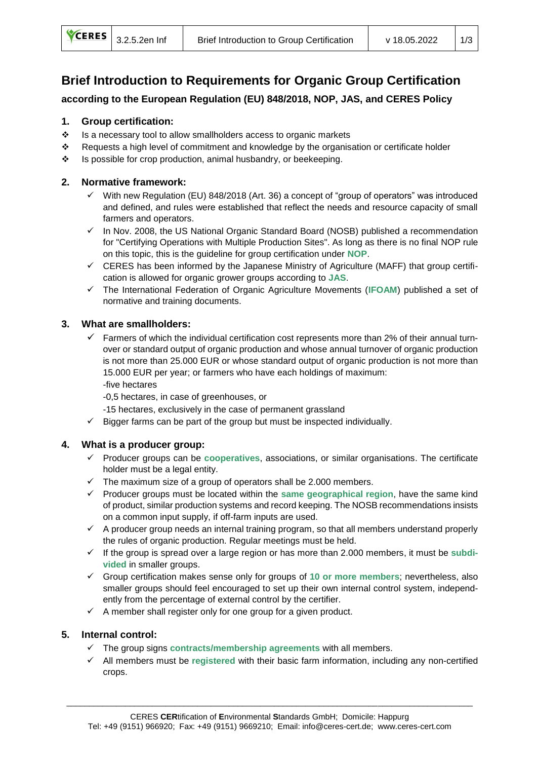# **Brief Introduction to Requirements for Organic Group Certification**

**according to the European Regulation (EU) 848/2018, NOP, JAS, and CERES Policy**

## **1. Group certification:**

- ❖ Is a necessary tool to allow smallholders access to organic markets
- ❖ Requests a high level of commitment and knowledge by the organisation or certificate holder
- ❖ Is possible for crop production, animal husbandry, or beekeeping.

#### **2. Normative framework:**

- $\checkmark$  With new Regulation (EU) 848/2018 (Art. 36) a concept of "group of operators" was introduced and defined, and rules were established that reflect the needs and resource capacity of small farmers and operators.
- $\checkmark$  In Nov. 2008, the US National Organic Standard Board (NOSB) published a recommendation for "Certifying Operations with Multiple Production Sites". As long as there is no final NOP rule on this topic, this is the guideline for group certification under **NOP**.
- $\checkmark$  CERES has been informed by the Japanese Ministry of Agriculture (MAFF) that group certification is allowed for organic grower groups according to **JAS**.
- ✓ The International Federation of Organic Agriculture Movements (**IFOAM**) published a set of normative and training documents.

#### **3. What are smallholders:**

 $\checkmark$  Farmers of which the individual certification cost represents more than 2% of their annual turnover or standard output of organic production and whose annual turnover of organic production is not more than 25.000 EUR or whose standard output of organic production is not more than 15.000 EUR per year; or farmers who have each holdings of maximum: -five hectares

-0,5 hectares, in case of greenhouses, or

- -15 hectares, exclusively in the case of permanent grassland
- $\checkmark$  Bigger farms can be part of the group but must be inspected individually.

#### **4. What is a producer group:**

- ✓ Producer groups can be **cooperatives**, associations, or similar organisations. The certificate holder must be a legal entity.
- $\checkmark$  The maximum size of a group of operators shall be 2.000 members.
- ✓ Producer groups must be located within the **same geographical region**, have the same kind of product, similar production systems and record keeping. The NOSB recommendations insists on a common input supply, if off-farm inputs are used.
- $\checkmark$  A producer group needs an internal training program, so that all members understand properly the rules of organic production. Regular meetings must be held.
- ✓ If the group is spread over a large region or has more than 2.000 members, it must be **subdivided** in smaller groups.
- ✓ Group certification makes sense only for groups of **10 or more members**; nevertheless, also smaller groups should feel encouraged to set up their own internal control system, independently from the percentage of external control by the certifier.
- $\checkmark$  A member shall register only for one group for a given product.

## **5. Internal control:**

- ✓ The group signs **contracts/membership agreements** with all members.
- ✓ All members must be **registered** with their basic farm information, including any non-certified crops.

\_\_\_\_\_\_\_\_\_\_\_\_\_\_\_\_\_\_\_\_\_\_\_\_\_\_\_\_\_\_\_\_\_\_\_\_\_\_\_\_\_\_\_\_\_\_\_\_\_\_\_\_\_\_\_\_\_\_\_\_\_\_\_\_\_\_\_\_\_\_\_\_\_\_\_\_\_\_\_\_\_\_\_\_\_\_\_\_\_\_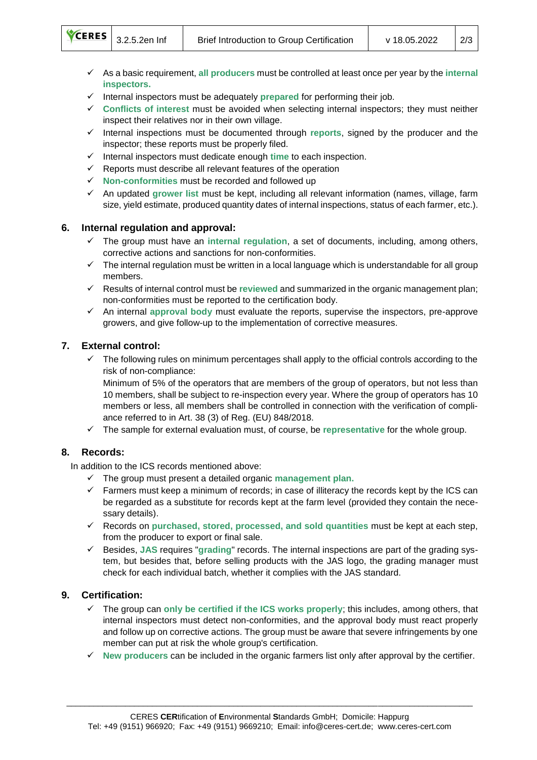- ✓ As a basic requirement, **all producers** must be controlled at least once per year by the **internal inspectors.**
- ✓ Internal inspectors must be adequately **prepared** for performing their job.
- ✓ **Conflicts of interest** must be avoided when selecting internal inspectors; they must neither inspect their relatives nor in their own village.
- ✓ Internal inspections must be documented through **reports**, signed by the producer and the inspector; these reports must be properly filed.
- ✓ Internal inspectors must dedicate enough **time** to each inspection.
- $\checkmark$  Reports must describe all relevant features of the operation
- ✓ **Non-conformities** must be recorded and followed up
- ✓ An updated **grower list** must be kept, including all relevant information (names, village, farm size, yield estimate, produced quantity dates of internal inspections, status of each farmer, etc.).

## **6. Internal regulation and approval:**

- The group must have an internal regulation, a set of documents, including, among others, corrective actions and sanctions for non-conformities.
- $\checkmark$  The internal regulation must be written in a local language which is understandable for all group members.
- ✓ Results of internal control must be **reviewed** and summarized in the organic management plan; non-conformities must be reported to the certification body.
- ✓ An internal **approval body** must evaluate the reports, supervise the inspectors, pre-approve growers, and give follow-up to the implementation of corrective measures.

## **7. External control:**

✓ The following rules on minimum percentages shall apply to the official controls according to the risk of non-compliance:

Minimum of 5% of the operators that are members of the group of operators, but not less than 10 members, shall be subject to re-inspection every year. Where the group of operators has 10 members or less, all members shall be controlled in connection with the verification of compliance referred to in Art. 38 (3) of Reg. (EU) 848/2018.

✓ The sample for external evaluation must, of course, be **representative** for the whole group.

## **8. Records:**

In addition to the ICS records mentioned above:

- ✓ The group must present a detailed organic **management plan.**
- $\checkmark$  Farmers must keep a minimum of records; in case of illiteracy the records kept by the ICS can be regarded as a substitute for records kept at the farm level (provided they contain the necessary details).
- ✓ Records on **purchased, stored, processed, and sold quantities** must be kept at each step, from the producer to export or final sale.
- ✓ Besides, **JAS** requires "**grading**" records. The internal inspections are part of the grading system, but besides that, before selling products with the JAS logo, the grading manager must check for each individual batch, whether it complies with the JAS standard.

## **9. Certification:**

- ✓ The group can **only be certified if the ICS works properly**; this includes, among others, that internal inspectors must detect non-conformities, and the approval body must react properly and follow up on corrective actions. The group must be aware that severe infringements by one member can put at risk the whole group's certification.
- ✓ **New producers** can be included in the organic farmers list only after approval by the certifier.

\_\_\_\_\_\_\_\_\_\_\_\_\_\_\_\_\_\_\_\_\_\_\_\_\_\_\_\_\_\_\_\_\_\_\_\_\_\_\_\_\_\_\_\_\_\_\_\_\_\_\_\_\_\_\_\_\_\_\_\_\_\_\_\_\_\_\_\_\_\_\_\_\_\_\_\_\_\_\_\_\_\_\_\_\_\_\_\_\_\_